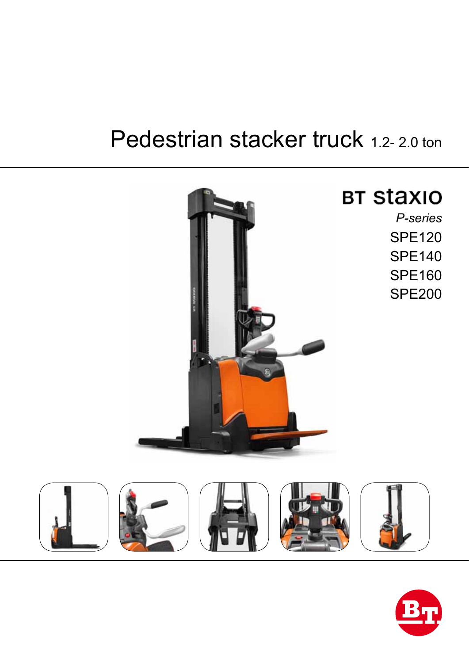# Pedestrian stacker truck 1.2-2.0 ton



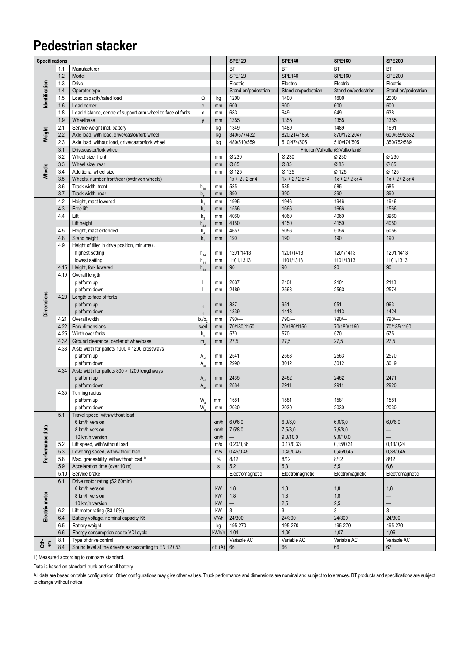### **Pedestrian stacker**

| <b>Specifications</b> |      |                                                             |                                |              | <b>SPE120</b>            | <b>SPE140</b>       | <b>SPE160</b>                  | <b>SPE200</b>            |
|-----------------------|------|-------------------------------------------------------------|--------------------------------|--------------|--------------------------|---------------------|--------------------------------|--------------------------|
|                       | 1.1  | Manufacturer                                                |                                |              | <b>BT</b>                | <b>BT</b>           | BT                             | <b>BT</b>                |
|                       | 1.2  | Model                                                       |                                |              | <b>SPE120</b>            | <b>SPE140</b>       | <b>SPE160</b>                  | <b>SPE200</b>            |
|                       | 1.3  | Drive                                                       |                                |              | Electric                 | Electric            | Electric                       | Electric                 |
| Identification        | 1.4  | Operator type                                               |                                |              | Stand on/pedestrian      | Stand on/pedestrian | Stand on/pedestrian            | Stand on/pedestrian      |
|                       | 1.5  | Load capacity/rated load                                    | Q                              |              | 1200                     | 1400                | 1600                           | 2000                     |
|                       |      |                                                             |                                | kg           |                          |                     |                                |                          |
|                       | 1.6  | Load center                                                 | $\mathsf{c}$                   | mm           | 600                      | 600                 | 600                            | 600                      |
|                       | 1.8  | Load distance, centre of support arm wheel to face of forks | X                              | mm           | 683                      | 649                 | 649                            | 638                      |
|                       | 1.9  | Wheelbase                                                   | $\mathsf{V}$                   | mm           | 1355                     | 1355                | 1355                           | 1355                     |
|                       | 2.1  | Service weight incl. battery                                |                                | kg           | 1349                     | 1489                | 1489                           | 1691                     |
| Weight                | 2.2  | Axle load, with load, drive/castor/fork wheel               |                                | kg           | 340/577/432              | 820/214/1855        | 870/172/2047                   | 600/559/2532             |
|                       | 2.3  | Axle load, without load, drive/castor/fork wheel            |                                | kg           | 480/510/559              | 510/474/505         | 510/474/505                    | 350/752/589              |
|                       | 3.1  | Drive/castor/fork wheel                                     |                                |              |                          |                     | Friction/Vulkollan®/Vulkollan® |                          |
| Wheels                | 3.2  | Wheel size, front                                           |                                | mm           | Ø 230                    | Ø 230               | Ø 230                          | Ø 230                    |
|                       | 3.3  | Wheel size, rear                                            |                                | mm           | Ø 85                     | Ø 85                | Ø 85                           | Ø 85                     |
|                       | 3.4  | Additional wheel size                                       |                                | mm           | Ø 125                    | Ø 125               | Ø 125                          | Ø 125                    |
|                       | 3.5  | Wheels, number front/rear (x=driven wheels)                 |                                |              | $1x + 2/2$ or 4          | $1x + 2/2$ or 4     | $1x + 2/2$ or 4                | $1x + 2/2$ or 4          |
|                       | 3.6  |                                                             |                                |              | 585                      | 585                 | 585                            | 585                      |
|                       |      | Track width, front                                          | $\mathbf{b}_{10}$              | mm           |                          |                     |                                |                          |
|                       | 3.7  | Track width, rear                                           | b,                             | mm           | 390                      | 390                 | 390                            | 390                      |
|                       | 4.2  | Height, mast lowered                                        | h,                             | mm           | 1995                     | 1946                | 1946                           | 1946                     |
|                       | 4.3  | Free lift                                                   | $h_{\scriptscriptstyle 2}$     | mm           | 1556                     | 1666                | 1666                           | 1566                     |
|                       | 4.4  | Lift                                                        | h,                             | mm           | 4060                     | 4060                | 4060                           | 3960                     |
|                       |      | Lift height                                                 | $h_{23}$                       | mm           | 4150                     | 4150                | 4150                           | 4050                     |
|                       | 4.5  | Height, mast extended                                       | $h_a$                          | mm           | 4657                     | 5056                | 5056                           | 5056                     |
|                       | 4.8  | Stand height                                                | h,                             | mm           | 190                      | 190                 | 190                            | 190                      |
|                       | 4.9  | Height of tiller in drive position, min./max.               |                                |              |                          |                     |                                |                          |
|                       |      | highest setting                                             | $h_{14}$                       | mm           | 1201/1413                | 1201/1413           | 1201/1413                      | 1201/1413                |
|                       |      | lowest setting                                              | $\mathsf{h}_{_{14}}$           | mm           | 1101/1313                | 1101/1313           | 1101/1313                      | 1101/1313                |
|                       | 4.15 | Height, fork lowered                                        | $h_{13}$                       | mm           | 90                       | 90                  | 90                             | 90                       |
|                       | 4.19 | Overall length                                              |                                |              |                          |                     |                                |                          |
|                       |      |                                                             |                                |              |                          |                     |                                |                          |
|                       |      | platform up                                                 |                                | mm           | 2037                     | 2101                | 2101                           | 2113                     |
|                       |      | platform down                                               |                                | mm           | 2489                     | 2563                | 2563                           | 2574                     |
|                       | 4.20 | Length to face of forks                                     |                                |              |                          |                     |                                |                          |
|                       |      | platform up                                                 | $\mathsf{I}_2$                 | mm           | 887                      | 951                 | 951                            | 963                      |
| <b>Dimensions</b>     |      | platform down                                               | $\mathsf{I}_{2}$               | mm           | 1339                     | 1413                | 1413                           | 1424                     |
|                       | 4.21 | Overall width                                               | b <sub>1</sub> /b <sub>2</sub> | mm           | $790/-$                  | 790/-               | $790/-$                        | $790/-$                  |
|                       | 4.22 | Fork dimensions                                             | s/e/l                          | mm           | 70/180/1150              | 70/180/1150         | 70/180/1150                    | 70/185/1150              |
|                       | 4.25 | Width over forks                                            | b <sub>5</sub>                 | mm           | 570                      | 570                 | 570                            | 575                      |
|                       | 4.32 | Ground clearance, center of wheelbase                       | m <sub>2</sub>                 | mm           | 27,5                     | 27,5                | 27,5                           | 27,5                     |
|                       | 4.33 | Aisle width for pallets 1000 × 1200 crossways               |                                |              |                          |                     |                                |                          |
|                       |      | platform up                                                 | A <sub>st</sub>                | mm           | 2541                     | 2563                | 2563                           | 2570                     |
|                       |      | platform down                                               | $A_{st}$                       | mm           | 2990                     | 3012                | 3012                           | 3019                     |
|                       | 4.34 | Aisle width for pallets $800 \times 1200$ lengthways        |                                |              |                          |                     |                                |                          |
|                       |      | platform up                                                 | $A_{st}$                       | mm           | 2435                     | 2462                | 2462                           | 2471                     |
|                       |      | platform down                                               | $A_{\rm c}$                    | mm           | 2884                     | 2911                | 2911                           | 2920                     |
|                       | 4.35 | Turning radius                                              |                                |              |                          |                     |                                |                          |
|                       |      | platform up                                                 | W.                             | mm           | 1581                     | 1581                | 1581                           | 1581                     |
|                       |      |                                                             | W                              |              |                          |                     |                                |                          |
|                       | 5.1  | platform down<br>Travel speed, with/without load            |                                | mm           | 2030                     | 2030                | 2030                           | 2030                     |
|                       |      | 6 km/h version                                              |                                |              |                          | 6,0/6,0             |                                |                          |
|                       |      |                                                             |                                | km/h         | 6,0/6,0                  |                     | 6,0/6,0                        | 6,0/6,0                  |
|                       |      | 8 km/h version                                              |                                | km/h         | 7,5/8,0                  | 7,5/8,0             | 7,5/8,0                        | -                        |
|                       |      | 10 km/h version                                             |                                | km/h         |                          | 9.0/10.0            | 9,0/10,0                       | $\overline{\phantom{0}}$ |
|                       | 5.2  | Lift speed, with/without load                               |                                | m/s          | 0,20/0,36                | 0,17/0,33           | 0,15/0,31                      | 0,13/0,24                |
| Performance data      | 5.3  | Lowering speed, with/without load                           |                                | m/s          | 0,45/0,45                | 0,45/0,45           | 0,45/0,45                      | 0,38/0,45                |
|                       | 5.8  | Max. gradeability, with/without load 1)                     |                                | %            | 8/12                     | 8/12                | 8/12                           | 8/12                     |
|                       | 5.9  | Acceleration time (over 10 m)                               |                                | $\mathsf{s}$ | 5,2                      | 5,3                 | 5,5                            | 6,6                      |
|                       | 5.10 | Service brake                                               |                                |              | Electromagnetic          | Electromagnetic     | Electromagnetic                | Electromagnetic          |
|                       | 6.1  | Drive motor rating (S2 60min)                               |                                |              |                          |                     |                                |                          |
|                       |      | 6 km/h version                                              |                                | kW           | 1,8                      | 1,8                 | 1,8                            | 1,8                      |
|                       |      | 8 km/h version                                              |                                | kW           | 1,8                      | 1,8                 | 1,8                            | $\qquad \qquad -$        |
| Electric motor        |      | 10 km/h version                                             |                                | kW           | $\overline{\phantom{0}}$ | 2,5                 | 2,5                            |                          |
|                       | 6.2  | Lift motor rating (S3 15%)                                  |                                | kW           | 3                        | 3                   | 3                              | 3                        |
|                       | 6.4  | Battery voltage, nominal capacity K5                        |                                | V/Ah         | 24/300                   | 24/300              | 24/300                         | 24/300                   |
|                       | 6.5  | Battery weight                                              |                                | kg           | 195-270                  | 195-270             | 195-270                        | 195-270                  |
|                       | 6.6  | Energy consumption acc to VDI cycle                         |                                | kWh/h        | 1,04                     | 1,06                | 1,07                           | 1,06                     |
|                       |      |                                                             |                                |              |                          |                     |                                |                          |
| oth-<br>ers           | 8.1  | Type of drive control                                       |                                |              | Variable AC              | Variable AC         | Variable AC                    | Variable AC              |
|                       | 8.4  | Sound level at the driver's ear according to EN 12 053      |                                | $dB(A)$ 66   |                          | 66                  | 66                             | 67                       |

1) Measured according to company standard.

Data is based on standard truck and small battery.

All data are based on table configuration. Other configurations may give other values. Truck performance and dimensions are nominal and subject to tolerances. BT products and specifications are subject to change without notice.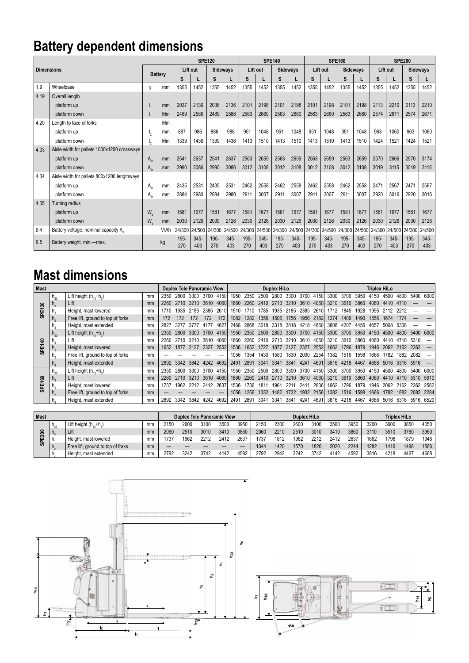## **Battery dependent dimensions**

|                   |                                             |                                    |                |             | <b>SPE120</b>  |             |                 |             |                | <b>SPE140</b> |                 |                      |                | <b>SPE160</b> |                 | <b>SPE200</b> |                |             |                 |
|-------------------|---------------------------------------------|------------------------------------|----------------|-------------|----------------|-------------|-----------------|-------------|----------------|---------------|-----------------|----------------------|----------------|---------------|-----------------|---------------|----------------|-------------|-----------------|
| <b>Dimensions</b> |                                             |                                    |                | Lift out    |                |             | <b>Sidewavs</b> |             | Lift out       |               | <b>Sidewavs</b> |                      | Lift out       |               | <b>Sidewavs</b> |               | Lift out       |             | <b>Sidewavs</b> |
|                   |                                             |                                    | <b>Battery</b> |             |                | s           |                 | S           |                | S             |                 | S                    |                | s             |                 | S             |                | S           |                 |
| 1.9               | Wheelbase                                   | V                                  | mm             | 1355        | 1452           | 1355        | 1452            | 1355        | 1452           | 1355          | 1452            | 1355                 | 1452           | 1355          | 1452            | 1355          | 1452           | 1355        | 1452            |
| 4.19              | Overall length                              |                                    |                |             |                |             |                 |             |                |               |                 |                      |                |               |                 |               |                |             |                 |
|                   | platform up                                 |                                    | mm             | 2037        | 2136           | 2036        | 2136            | 2101        | 2198           | 2101          | 2198            | 2101                 | 2198           | 2101          | 2198            | 2113          | 2210           | 2113        | 2210            |
|                   | platform down                               |                                    | Mm             | 2489        | 2586           | 2489        | 2586            | 2563        | 2660           | 2563          | 2660            | 2563                 | 2660           | 2563          | 2660            | 2574          | 2671           | 2574        | 2671            |
| 4.20              | Length to face of forks                     |                                    | Mm             |             |                |             |                 |             |                |               |                 |                      |                |               |                 |               |                |             |                 |
|                   | platform up                                 | 12                                 | mm             | 887         | 986            | 886         | 986             | 951         | 1048           | 951           | 1048            | 951                  | 1048           | 951           | 1048            | 963           | 1060           | 963         | 1060            |
|                   | platform down                               |                                    | Mm             | 1339        | 1436           | 1339        | 1436            | 1413        | 1510           | 1413          | 1510            | 1413                 | 1510           | 1413          | 1510            | 1424          | 1521           | 1424        | 1521            |
| 4.33              | Aisle width for pallets 1000x1200 crossways |                                    |                |             |                |             |                 |             |                |               |                 |                      |                |               |                 |               |                |             |                 |
|                   | platform up                                 | $A_{\rm st}$                       | mm             | 2541        | 2637           | 2541        | 2637            | 2563        | 2659           | 2563          | 2659            | 2563                 | 2659           | 2563          | 2659            | 2570          | 2666           | 2570        | 3174            |
|                   | platform down                               | $A_{\scriptscriptstyle{\alpha t}}$ | mm             | 2990        | 3086           | 2990        | 3086            | 3012        | 3108           | 3012          | 3108            | 3012                 | 3108           | 3012          | 3108            | 3019          | 3115           | 3019        | 3115            |
| 4.34              | Aisle width for pallets 800x1200 lengthways |                                    |                |             |                |             |                 |             |                |               |                 |                      |                |               |                 |               |                |             |                 |
|                   | platform up                                 | $A_{\rm st}$                       | mm             | 2435        | 2531           | 2435        | 2531            | 2462        | 2558           | 2462          | 2558            | 2462                 | 2558           | 2462          | 2558            | 2471          | 2567           | 2471        | 2567            |
|                   | platform down                               | $A_{\rm st}$                       | mm             | 2884        | 2980           | 2884        | 2980            | 2911        | 3007           | 2911          | 3007            | 2911                 | 3007           | 2911          | 3007            | 2920          | 3016           | 2920        | 3016            |
| 4.35              | Turning radius                              |                                    |                |             |                |             |                 |             |                |               |                 |                      |                |               |                 |               |                |             |                 |
|                   | platform up                                 | W                                  | mm             | 1581        | 1677           | 1581        | 1677            | 1581        | 1677           | 1581          | 1677            | 1581                 | 1677           | 1581          | 1677            | 1581          | 1677           | 1581        | 1677            |
|                   | platform down                               | $W_a$                              | mm             | 2030        | 2126           | 2030        | 2126            | 2030        | 2126           | 2030          | 2126            | 2030                 | 2126           | 2030          | 2126            | 2030          | 2126           | 2030        | 2126            |
| 6.4               | Battery voltage, nominal capacity K.        |                                    | V/Ah           | 24/300      | 24/500         | 24/300      | 24/500          |             | 24/300 24/500  |               |                 | 24/300 24/500 24/300 | 24/500         | 24/300        | 24/500          | 24/300        | 24/500         | 24/300      | 24/500          |
| 6.5               | Battery weight, min.-max.                   |                                    | kg             | 195-<br>270 | $345 -$<br>403 | 195-<br>270 | $345 -$<br>403  | 195-<br>270 | $345 -$<br>403 | 195-<br>270   | $345 -$<br>403  | 195-<br>270          | $345 -$<br>403 | 195-<br>270   | $345 -$<br>403  | 195-<br>270   | $345 -$<br>403 | 195-<br>270 | $345 -$<br>403  |

### **Mast dimensions**

| <b>Mast</b>           |                |                                   |    | <b>Duplex Tele Panoramic View</b> |      |      |      |      | Duplex HiLo |      |      |           |      |           |             |           | <b>Triplex HiLo</b> |      |      |      |           |                |      |  |  |
|-----------------------|----------------|-----------------------------------|----|-----------------------------------|------|------|------|------|-------------|------|------|-----------|------|-----------|-------------|-----------|---------------------|------|------|------|-----------|----------------|------|--|--|
|                       | $h_{23}$       | Lift height $(h_{13}+h_3)$        | mm | 2350                              | 2800 | 3300 | 3700 | 4150 | 1950        | 2350 | 2500 | 2800      | 3300 | 3700      | 4150        | 3300      | 3700                | 3950 | 4150 | 4500 | 4800      | 5400           | 6000 |  |  |
| ສ                     | $\Pi_{\alpha}$ | Lift                              | mm | 2260                              | 2710 | 3210 | 3610 | 4060 | 1860        | 2260 | 2410 | 2710      | 3210 | 3610 4060 |             | 3210      | 3610                | 3860 | 4060 | 4410 | 4710      |                |      |  |  |
| ш                     |                | Height, mast lowered              | mm | 1710                              | 1935 | 2185 | 2385 | 2610 | 1510        | 1710 | 1785 | 1935      | 2185 | 2385      | 2610        | 1712      | 1845                | 1928 | 1995 |      | 2212      |                |      |  |  |
| င္ဟ                   |                | Free lift, ground to top of forks | mm |                                   | 172  | 172  | 172  | 172  | 1082        | 1282 | 1356 | 1506      | 1756 | 1956 2182 |             | 1274      | 1406                | 1490 | 1556 | 1674 |           |                |      |  |  |
|                       |                | Height, mast extended             | mm | 2827                              | 3277 | 3777 | 4177 | 4627 | 2468        | 2868 |      | 3018 3318 | 3818 | 4218      | 46601       | 3808      | 4207                | 4456 | 4657 | 5008 | 5308      |                |      |  |  |
|                       | $h_{23}$       | Lift height $(h, +h)$             | mm | 2350                              | 2800 | 3300 | 3700 | 4150 | 1950        | 2350 | 2500 | 2800      | 3300 | 3700      | 4150        | 3300      | 3700                | 3950 | 4150 | 4500 | 4800      | 5400           | 6000 |  |  |
| ຊ                     |                | Lift                              | mm | 2260                              | 2710 | 3210 | 3610 | 4060 | 1860        | 2260 | 2410 | 2710      | 3210 | 3610      | 4060        | 3210      | 3610                | 3860 | 4060 | 4410 |           |                |      |  |  |
| 짙                     |                | Height, mast lowered              | mm | 1652                              | 1877 | 2127 | 2327 | 2552 | 1536        | 1652 | 1727 | 1877      | 2127 | 2327      | 2552        | 1662      | 1796                | 1879 | 1946 | 2062 | 2162 2362 |                |      |  |  |
| ഗ                     |                | Free lift, ground to top of forks | mm |                                   |      |      |      |      | 1056        | 1354 | 1430 | 1580      | 1830 | 2030      | 2254        | 1382      | 1516                | 1598 | 1666 | 1782 | 1882      | 2082           |      |  |  |
|                       |                | Height, mast extended             | mm | 2892                              | 3342 | 3842 | 4242 | 4692 | 2491        | 2891 | 3041 | 3341      | 3841 | 4241      | 4691        | 3816      | 4218                | 4467 | 4668 | 5016 | 5316      | 5916           |      |  |  |
|                       | $n_{23}$       | Lift height $(h_{12}+h_{2})$      | mm | 2350                              | 2800 | 3300 | 3700 | 4150 | 1950        | 2350 | 2500 | 2800      | 3300 | 3700      | 4150        | 3300      | 3700                | 3950 | 4150 | 4500 | 4800      | 5400           | 6000 |  |  |
| ິຣ                    | п.             | Lift                              | mm | 2260                              | 2710 | 3210 | 3610 | 4060 | 1860        | 2260 | 2410 | 2710      | 3210 | 3610 4060 |             | 3210 3610 |                     | 3860 | 4060 | 4410 | 4710      | 5310           | 5910 |  |  |
| 冚                     |                | Height, mast lowered              | mm | 1737                              | 1962 | 2212 | 2412 | 2637 | 1536        | 1736 | 181  | 1961      | 221  | 241'      | 2636        | 1662      | 796                 | 1879 | 1946 | 2062 | 2162      | 2362           | 2562 |  |  |
| $\boldsymbol{\omega}$ |                | Free lift, ground to top of forks | mm |                                   |      |      |      |      | 1056        | 1256 | 1332 | 1482      | 1732 | 1932      | <b>2156</b> | 1382      | 1516                | 1598 | 1666 | 1782 | 1882      | 2082           | 2284 |  |  |
|                       |                | Height, mast extended             | mm | 2892                              | 3342 | 3842 | 4242 | 4692 | 2491        | 2891 | 3041 | 3341      | 3841 | 4241      | 4691        | 3816      | 4218                | 4467 | 4668 | 5016 |           | 5316 5916 6520 |      |  |  |

| <b>Mast</b>       |             |                                   |    | <b>Duplex Tele Panoramic View</b> |      |      | <b>Duplex HiLo</b> |      | <b>Triplex HiLo</b> |      |      |      |      |      |      |      |      |      |
|-------------------|-------------|-----------------------------------|----|-----------------------------------|------|------|--------------------|------|---------------------|------|------|------|------|------|------|------|------|------|
| 0<br>Ō<br>ш<br>္တ | $n_{23}$    | Lift height $(h_{12}+h_{2})$      | mm | 2150                              | 2600 | 3100 | 3500               | 3950 | 2150                | 2300 | 2600 | 3100 | 3500 | 3950 | 3200 | 3600 | 3850 | 4050 |
|                   | $n_{\rm s}$ | Lift                              | mm | 2060                              | 2510 | 3010 | 3410               | 3860 | 2060                | 2210 | 2510 | 3010 | 3410 | 3860 | 3110 | 3510 | 3760 | 3960 |
|                   | m.          | Height, mast lowered              | mm | 737                               | 1962 | 2212 | 2412               | 2637 | 1737                | 1812 | 1962 | 2212 | 2412 | 2637 | 1662 | 1796 | 1879 | 1946 |
|                   | n.          | Free lift, ground to top of forks | mm |                                   |      |      |                    |      | 1344                | 1420 | 1570 | 1820 | 2020 | 2244 | 1282 | 1416 | 1498 | 1566 |
|                   | n.          | :, mast extended<br>Height.       | mm | 2792                              | 3242 | 3742 | 4142               | 4592 | 2792                | 2942 | 3242 | 3742 | 4142 | 4592 | 3816 | 4218 | 4467 | 4668 |